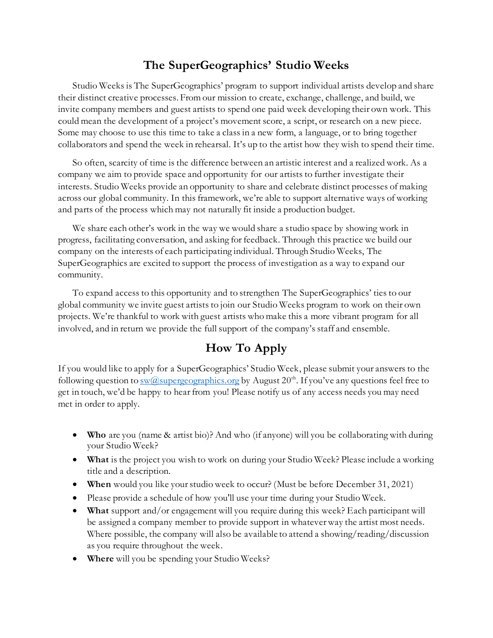## **The SuperGeographics' Studio Weeks**

Studio Weeks is The SuperGeographics' program to support individual artists develop and share their distinct creative processes. From our mission to create, exchange, challenge, and build, we invite company members and guest artists to spend one paid week developing their own work. This could mean the development of a project's movement score, a script, or research on a new piece. Some may choose to use this time to take a class in a new form, a language, or to bring together collaborators and spend the week in rehearsal. It's up to the artist how they wish to spend their time.

So often, scarcity of time is the difference between an artistic interest and a realized work. As a company we aim to provide space and opportunity for our artists to further investigate their interests. Studio Weeks provide an opportunity to share and celebrate distinct processes of making across our global community. In this framework, we're able to support alternative ways of working and parts of the process which may not naturally fit inside a production budget.

We share each other's work in the way we would share a studio space by showing work in progress, facilitating conversation, and asking for feedback. Through this practice we build our company on the interests of each participating individual. Through Studio Weeks, The SuperGeographics are excited to support the process of investigation as a way to expand our community.

To expand access to this opportunity and to strengthen The SuperGeographics' ties to our global community we invite guest artists to join our Studio Weeks program to work on their own projects. We're thankful to work with guest artists who make this a more vibrant program for all involved, and in return we provide the full support of the company's staff and ensemble.

## **How To Apply**

If you would like to apply for a SuperGeographics' Studio Week, please submit your answers to the following question to  $\frac{\text{sw@supergeographies.org}}{\text{by August 20}}$  h. If you've any questions feel free to get in touch, we'd be happy to hear from you! Please notify us of any access needs you may need met in order to apply.

- **Who** are you (name & artist bio)? And who (if anyone) will you be collaborating with during your Studio Week?
- **What** is the project you wish to work on during your Studio Week? Please include a working title and a description.
- **When** would you like your studio week to occur? (Must be before December 31, 2021)
- Please provide a schedule of how you'll use your time during your Studio Week.
- **What** support and/or engagement will you require during this week? Each participant will be assigned a company member to provide support in whatever way the artist most needs. Where possible, the company will also be available to attend a showing/reading/discussion as you require throughout the week.
- **Where** will you be spending your Studio Weeks?